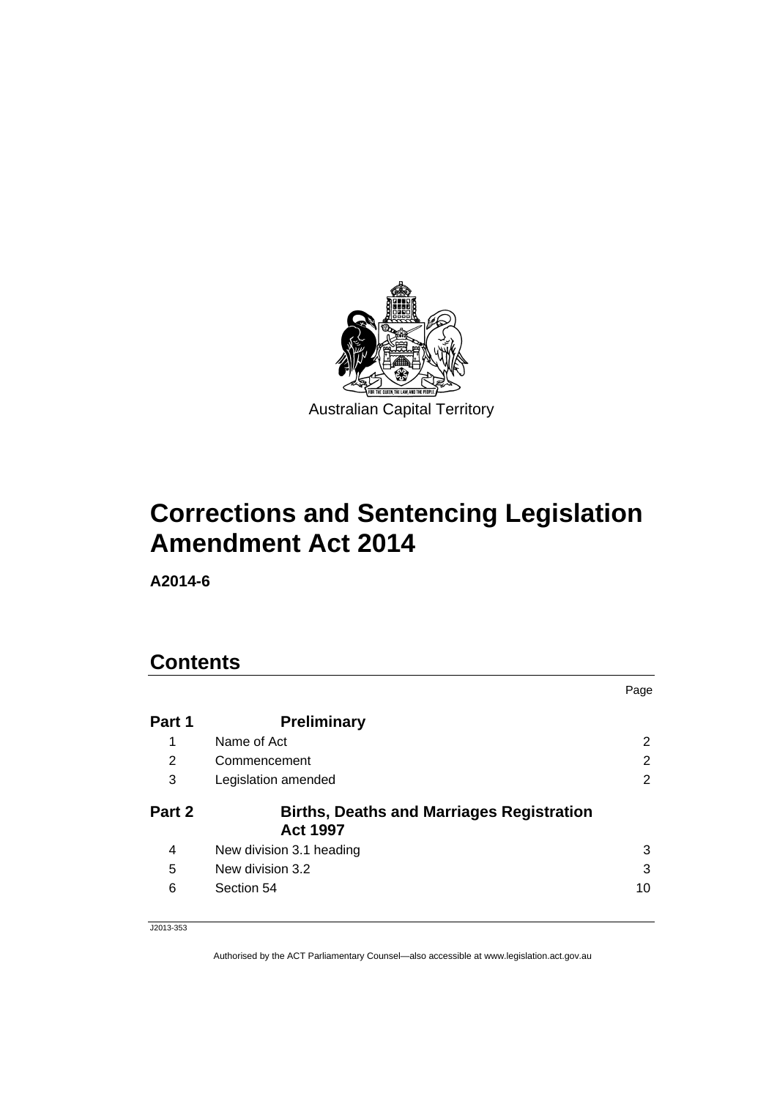

# **Corrections and Sentencing Legislation Amendment Act 2014**

**A2014-6** 

# **Contents**

|        |                                                                     | Page |
|--------|---------------------------------------------------------------------|------|
| Part 1 | <b>Preliminary</b>                                                  |      |
| 1      | Name of Act                                                         | 2    |
| 2      | Commencement                                                        | 2    |
| 3      | Legislation amended                                                 | 2    |
|        |                                                                     |      |
| Part 2 | <b>Births, Deaths and Marriages Registration</b><br><b>Act 1997</b> |      |
| 4      | New division 3.1 heading                                            | 3    |
| 5      | New division 3.2                                                    | 3    |

J2013-353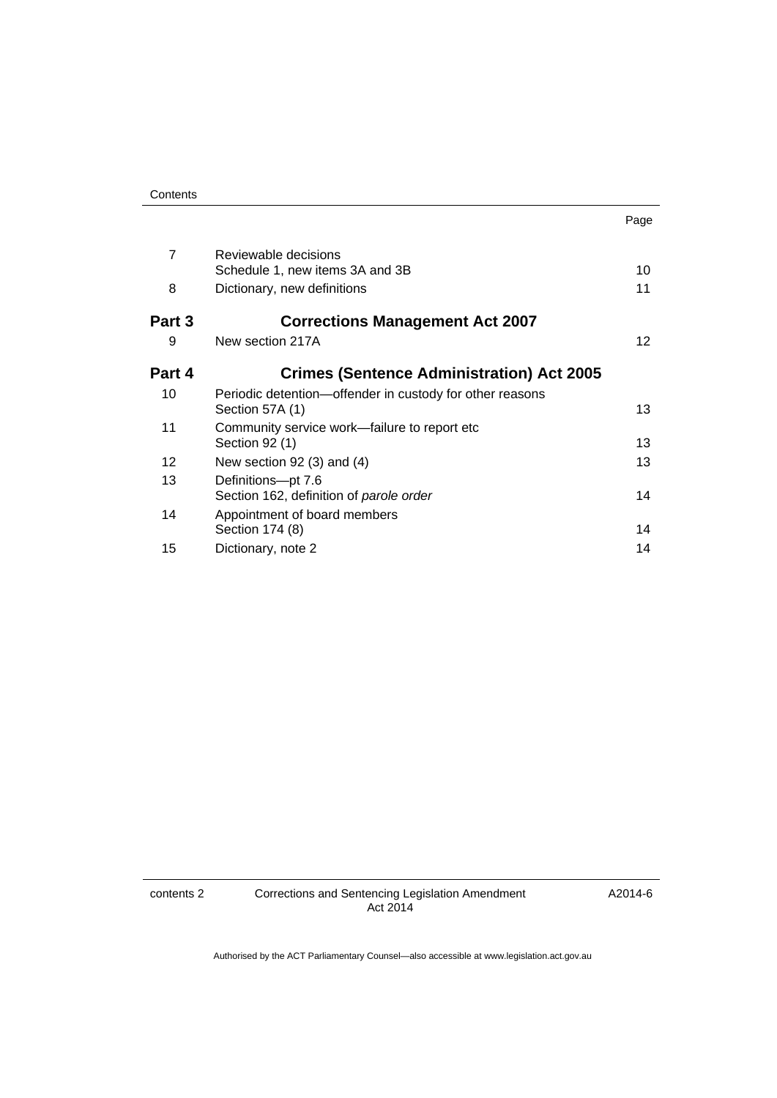| Contents |
|----------|
|----------|

| ×<br>. .<br>I<br>× |
|--------------------|
|--------------------|

| $\overline{7}$ | Reviewable decisions<br>Schedule 1, new items 3A and 3B                     | 10 |
|----------------|-----------------------------------------------------------------------------|----|
| 8              | Dictionary, new definitions                                                 | 11 |
| Part 3         | <b>Corrections Management Act 2007</b>                                      |    |
| 9              | New section 217A                                                            | 12 |
| Part 4         | <b>Crimes (Sentence Administration) Act 2005</b>                            |    |
| 10             | Periodic detention—offender in custody for other reasons<br>Section 57A (1) | 13 |
| 11             | Community service work—failure to report etc<br>Section 92 (1)              | 13 |
| 12             | New section $92(3)$ and $(4)$                                               | 13 |
| 13             | Definitions-pt 7.6<br>Section 162, definition of parole order               | 14 |
| 14             | Appointment of board members<br>Section 174 (8)                             | 14 |
| 15             | Dictionary, note 2                                                          | 14 |
|                |                                                                             |    |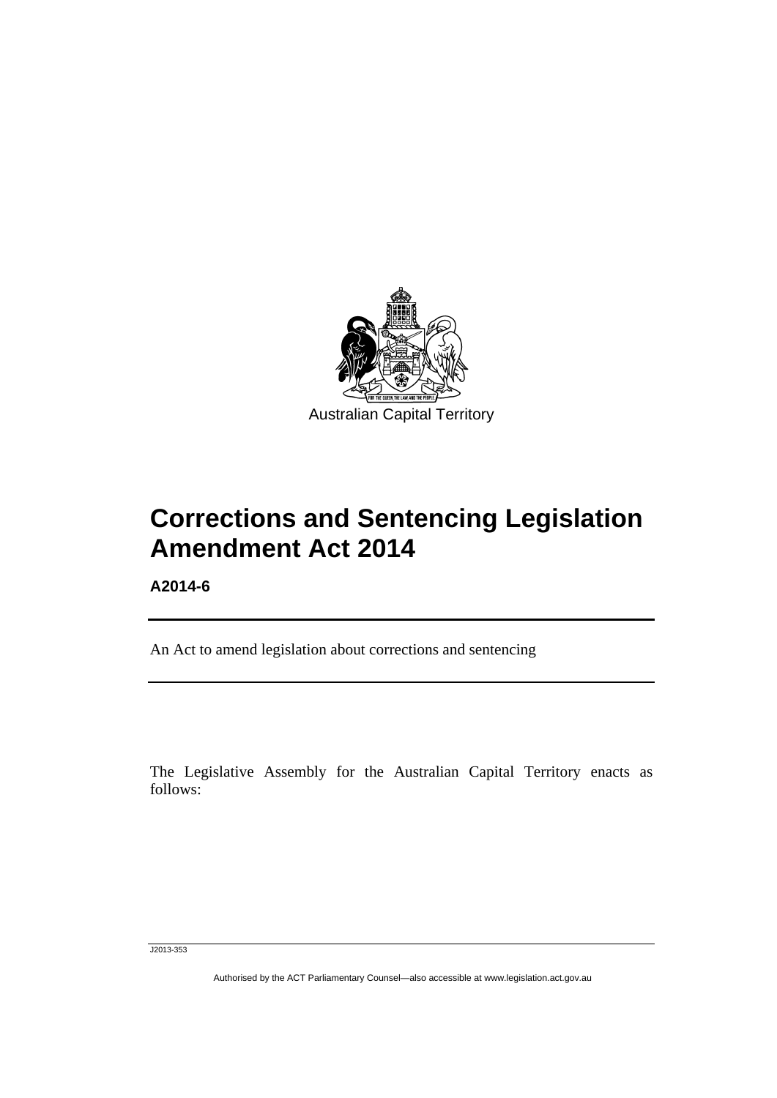

# **Corrections and Sentencing Legislation Amendment Act 2014**

**A2014-6** 

l

An Act to amend legislation about corrections and sentencing

The Legislative Assembly for the Australian Capital Territory enacts as follows:

J2013-353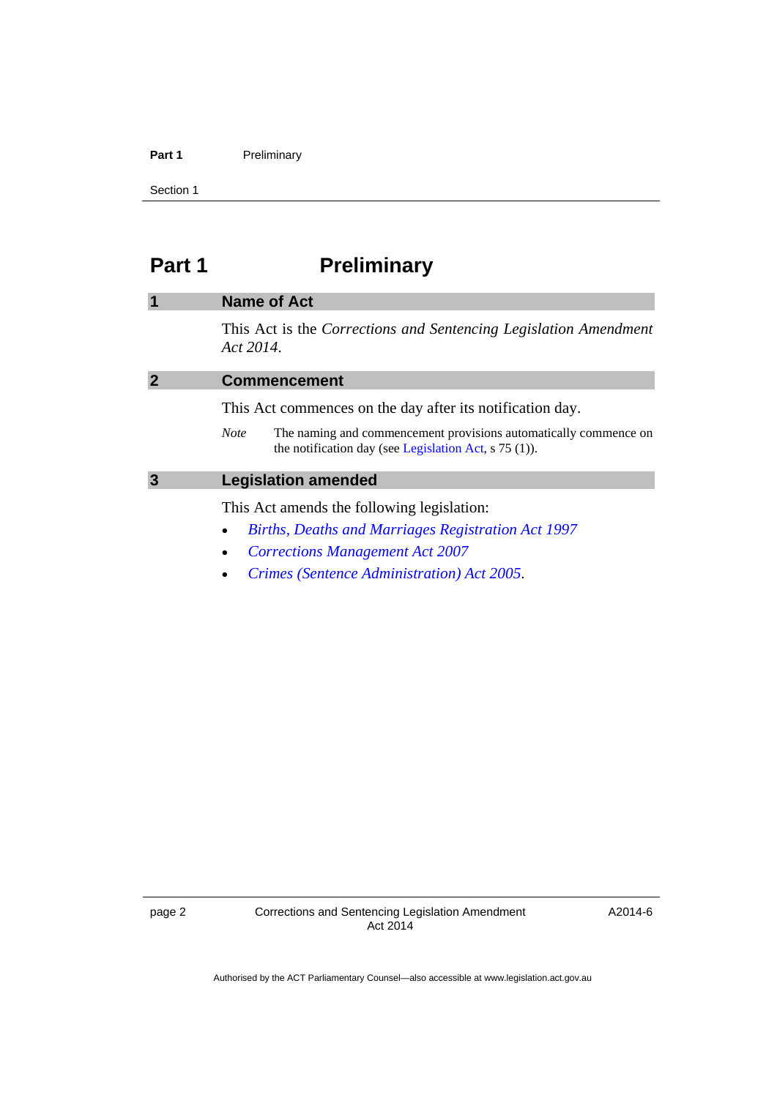#### Part 1 **Preliminary**

Section 1

# **Part 1** Preliminary

<span id="page-3-3"></span><span id="page-3-2"></span><span id="page-3-1"></span><span id="page-3-0"></span>

|   | <b>Name of Act</b>                                                                                                                                |  |
|---|---------------------------------------------------------------------------------------------------------------------------------------------------|--|
|   | This Act is the Corrections and Sentencing Legislation Amendment<br>Act 2014.                                                                     |  |
|   | <b>Commencement</b>                                                                                                                               |  |
|   | This Act commences on the day after its notification day.                                                                                         |  |
|   | The naming and commencement provisions automatically commence on<br><b>Note</b><br>the notification day (see Legislation Act, $\frac{1}{5}$ (1)). |  |
| 3 | <b>Legislation amended</b>                                                                                                                        |  |
|   | This Act amends the following legislation:                                                                                                        |  |
|   | <b>Births, Deaths and Marriages Registration Act 1997</b>                                                                                         |  |
|   | <b>Corrections Management Act 2007</b>                                                                                                            |  |

*[Crimes \(Sentence Administration\) Act 2005](http://www.legislation.act.gov.au/a/2005-59)*.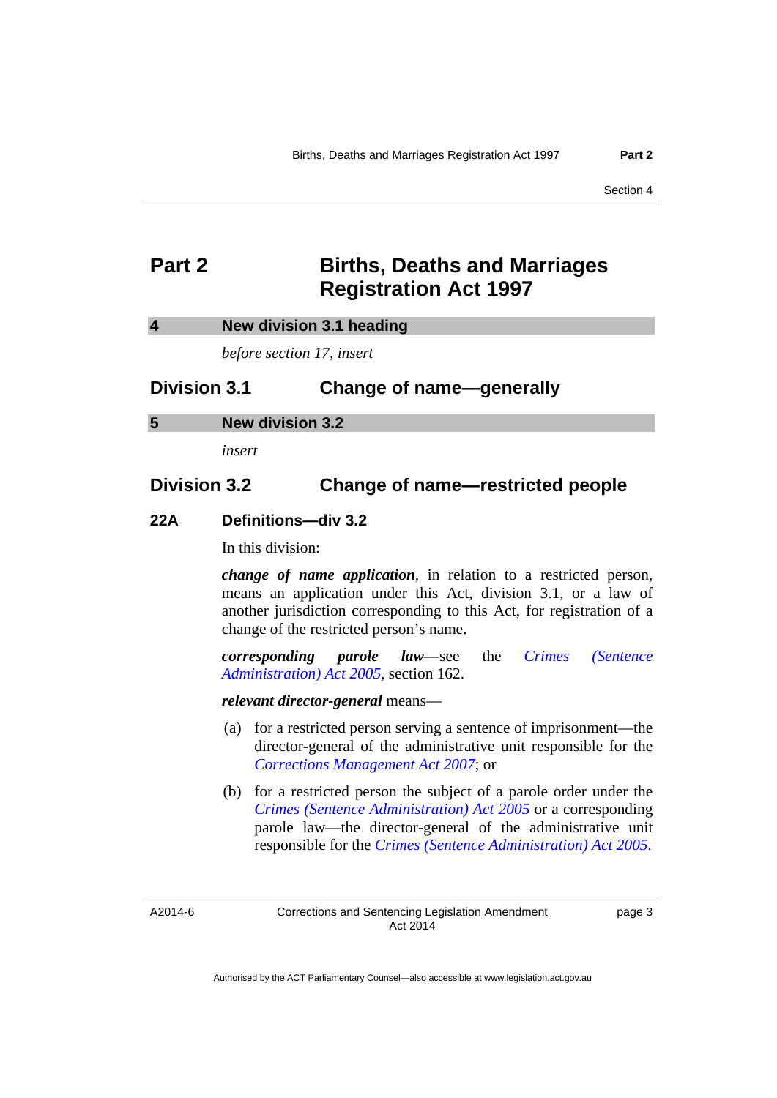# <span id="page-4-0"></span>**Part 2 Births, Deaths and Marriages Registration Act 1997**

<span id="page-4-1"></span>

| $\overline{\mathbf{4}}$ | New division 3.1 heading  |                          |
|-------------------------|---------------------------|--------------------------|
|                         | before section 17, insert |                          |
| <b>Division 3.1</b>     |                           | Change of name-generally |
| 5                       | <b>New division 3.2</b>   |                          |
|                         |                           |                          |

*insert* 

### <span id="page-4-2"></span>**Division 3.2 Change of name—restricted people**

#### **22A Definitions—div 3.2**

In this division:

*change of name application,* in relation to a restricted person, means an application under this Act, division 3.1, or a law of another jurisdiction corresponding to this Act, for registration of a change of the restricted person's name.

*corresponding parole law*—see the *[Crimes \(Sentence](http://www.legislation.act.gov.au/a/2005-59)  [Administration\) Act 2005](http://www.legislation.act.gov.au/a/2005-59)*, section 162.

*relevant director-general* means—

- (a) for a restricted person serving a sentence of imprisonment—the director-general of the administrative unit responsible for the *[Corrections Management Act 2007](http://www.legislation.act.gov.au/a/2007-15)*; or
- (b) for a restricted person the subject of a parole order under the *[Crimes \(Sentence Administration\) Act 2005](http://www.legislation.act.gov.au/a/2005-59)* or a corresponding parole law—the director-general of the administrative unit responsible for the *[Crimes \(Sentence Administration\) Act 2005](http://www.legislation.act.gov.au/a/2005-59)*.

A2014-6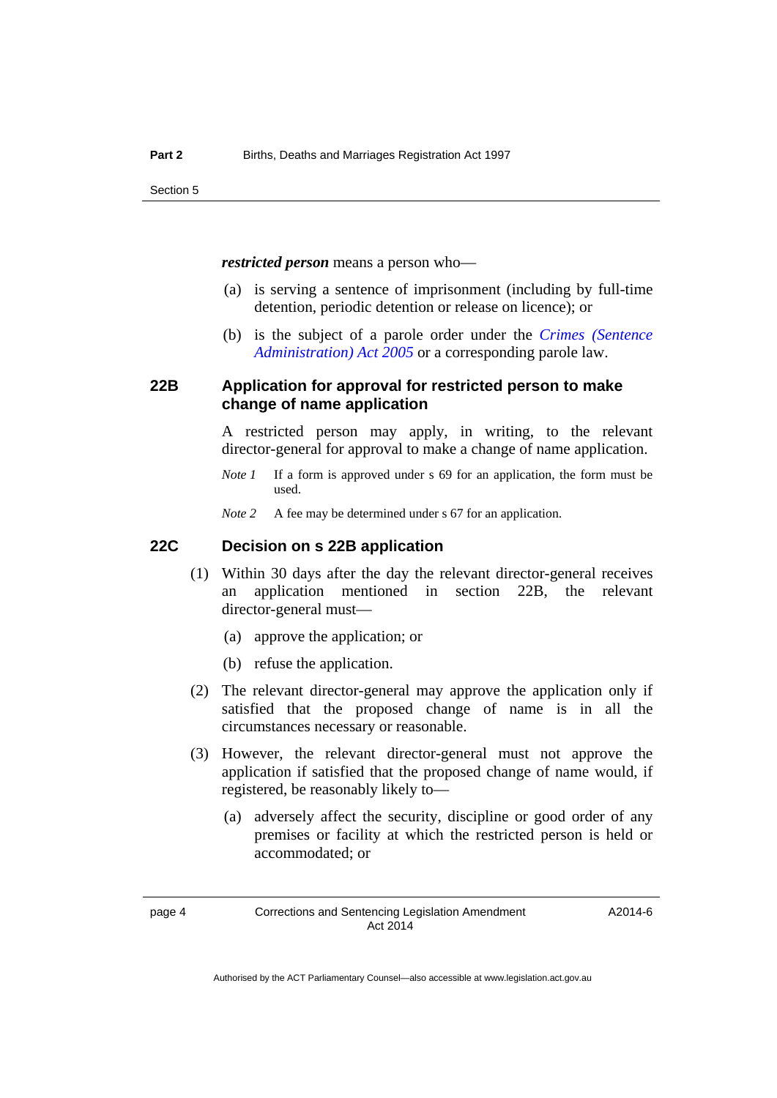*restricted person* means a person who—

- (a) is serving a sentence of imprisonment (including by full-time detention, periodic detention or release on licence); or
- (b) is the subject of a parole order under the *[Crimes \(Sentence](http://www.legislation.act.gov.au/a/2005-59)  [Administration\) Act 2005](http://www.legislation.act.gov.au/a/2005-59)* or a corresponding parole law.

#### **22B Application for approval for restricted person to make change of name application**

A restricted person may apply, in writing, to the relevant director-general for approval to make a change of name application.

- *Note 1* If a form is approved under s 69 for an application, the form must be used.
- *Note* 2 A fee may be determined under s 67 for an application.

#### **22C Decision on s 22B application**

- (1) Within 30 days after the day the relevant director-general receives an application mentioned in section 22B, the relevant director-general must—
	- (a) approve the application; or
	- (b) refuse the application.
- (2) The relevant director-general may approve the application only if satisfied that the proposed change of name is in all the circumstances necessary or reasonable.
- (3) However, the relevant director-general must not approve the application if satisfied that the proposed change of name would, if registered, be reasonably likely to—
	- (a) adversely affect the security, discipline or good order of any premises or facility at which the restricted person is held or accommodated; or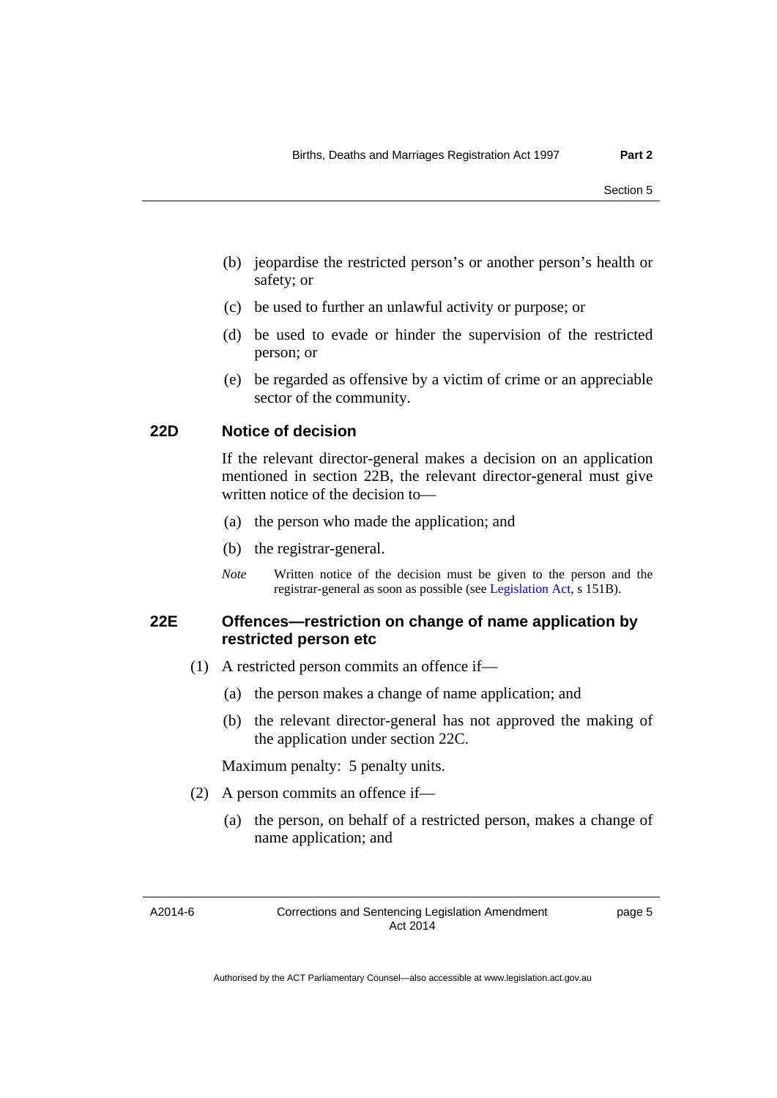- (b) jeopardise the restricted person's or another person's health or safety; or
- (c) be used to further an unlawful activity or purpose; or
- (d) be used to evade or hinder the supervision of the restricted person; or
- (e) be regarded as offensive by a victim of crime or an appreciable sector of the community.

#### **22D Notice of decision**

If the relevant director-general makes a decision on an application mentioned in section 22B, the relevant director-general must give written notice of the decision to—

- (a) the person who made the application; and
- (b) the registrar-general.
- *Note* Written notice of the decision must be given to the person and the registrar-general as soon as possible (see [Legislation Act,](http://www.legislation.act.gov.au/a/2001-14) s 151B).

#### **22E Offences—restriction on change of name application by restricted person etc**

- (1) A restricted person commits an offence if—
	- (a) the person makes a change of name application; and
	- (b) the relevant director-general has not approved the making of the application under section 22C.

Maximum penalty: 5 penalty units.

- (2) A person commits an offence if—
	- (a) the person, on behalf of a restricted person, makes a change of name application; and

A2014-6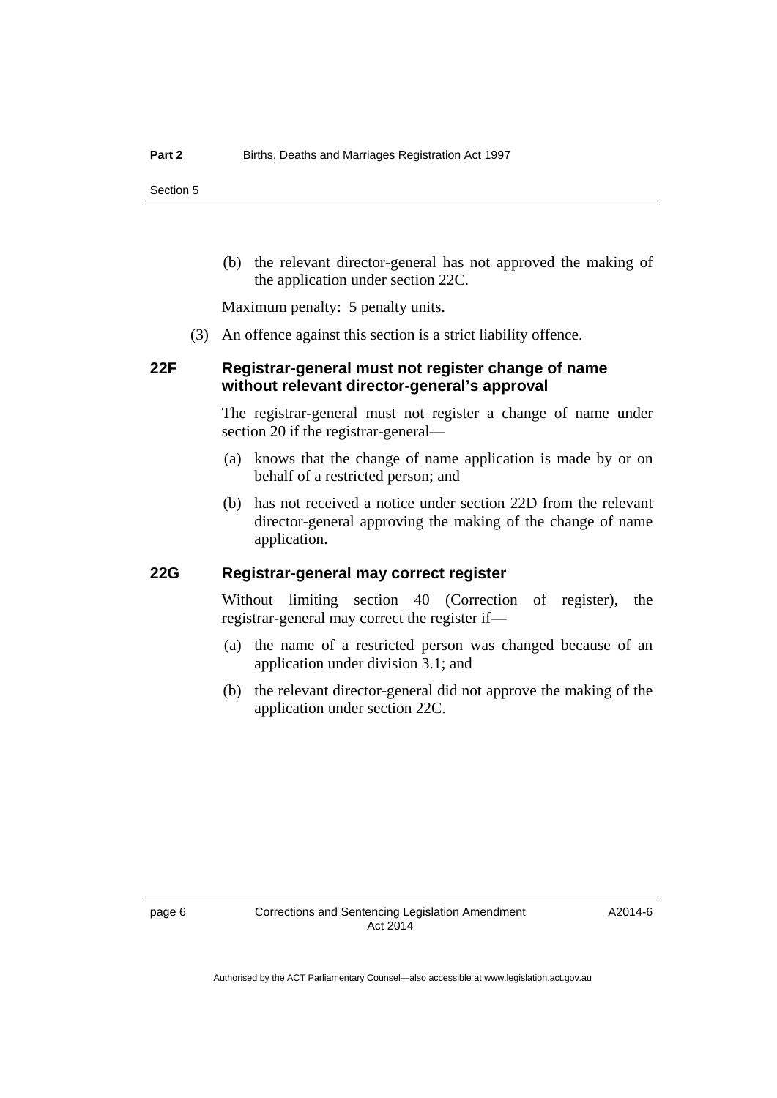(b) the relevant director-general has not approved the making of the application under section 22C.

Maximum penalty: 5 penalty units.

(3) An offence against this section is a strict liability offence.

#### **22F Registrar-general must not register change of name without relevant director-general's approval**

The registrar-general must not register a change of name under section 20 if the registrar-general—

- (a) knows that the change of name application is made by or on behalf of a restricted person; and
- (b) has not received a notice under section 22D from the relevant director-general approving the making of the change of name application.

#### **22G Registrar-general may correct register**

Without limiting section 40 (Correction of register), the registrar-general may correct the register if—

- (a) the name of a restricted person was changed because of an application under division 3.1; and
- (b) the relevant director-general did not approve the making of the application under section 22C.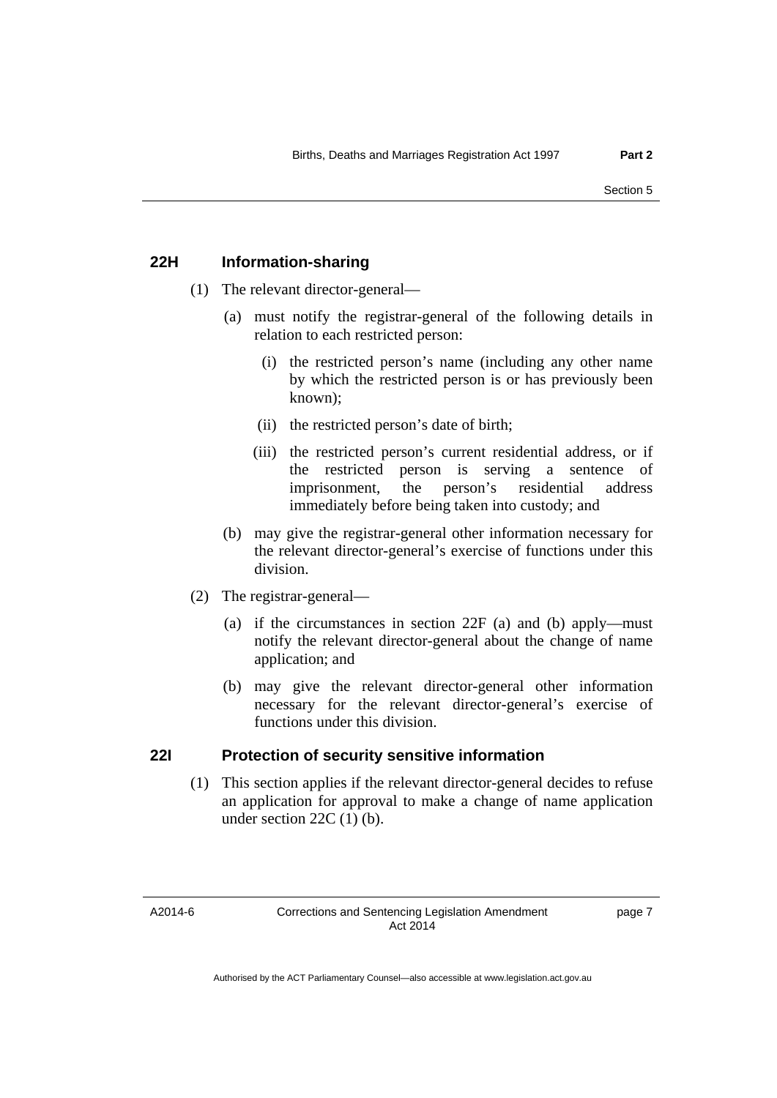#### **22H Information-sharing**

- (1) The relevant director-general—
	- (a) must notify the registrar-general of the following details in relation to each restricted person:
		- (i) the restricted person's name (including any other name by which the restricted person is or has previously been known);
		- (ii) the restricted person's date of birth;
		- (iii) the restricted person's current residential address, or if the restricted person is serving a sentence of imprisonment, the person's residential address immediately before being taken into custody; and
	- (b) may give the registrar-general other information necessary for the relevant director-general's exercise of functions under this division.
- (2) The registrar-general—
	- (a) if the circumstances in section 22F (a) and (b) apply—must notify the relevant director-general about the change of name application; and
	- (b) may give the relevant director-general other information necessary for the relevant director-general's exercise of functions under this division.

### **22I Protection of security sensitive information**

 (1) This section applies if the relevant director-general decides to refuse an application for approval to make a change of name application under section  $22C(1)$  (b).

A2014-6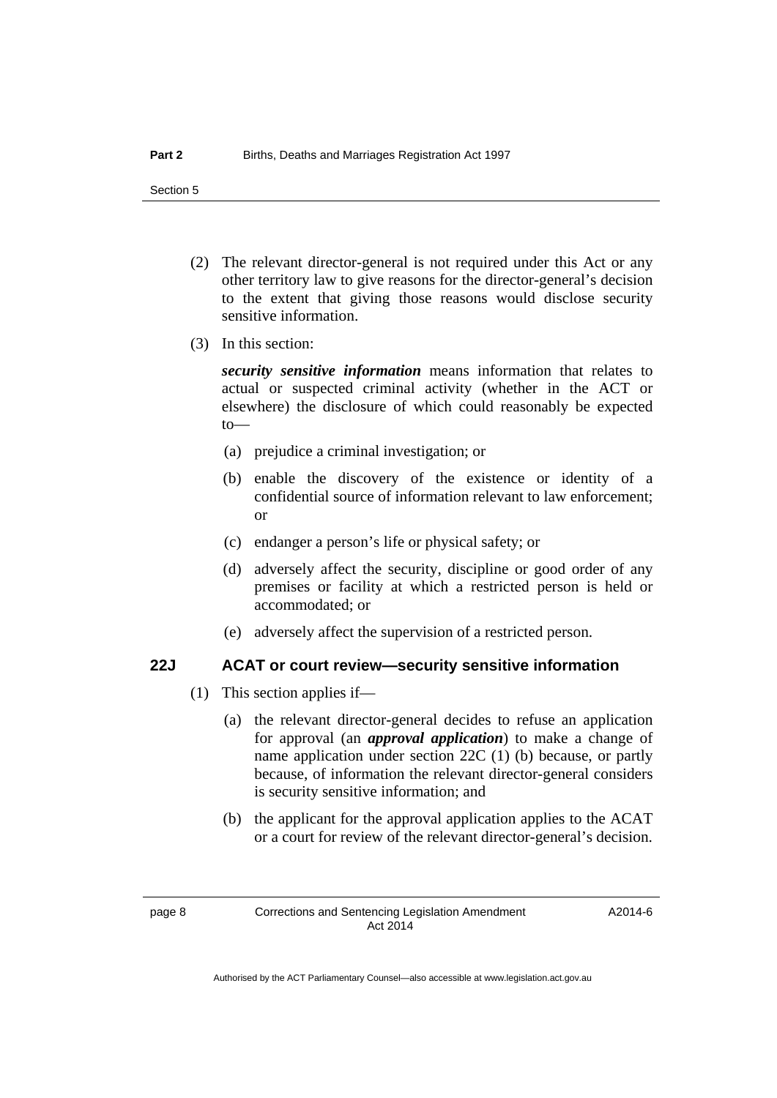- (2) The relevant director-general is not required under this Act or any other territory law to give reasons for the director-general's decision to the extent that giving those reasons would disclose security sensitive information.
- (3) In this section:

*security sensitive information* means information that relates to actual or suspected criminal activity (whether in the ACT or elsewhere) the disclosure of which could reasonably be expected to—

- (a) prejudice a criminal investigation; or
- (b) enable the discovery of the existence or identity of a confidential source of information relevant to law enforcement; or
- (c) endanger a person's life or physical safety; or
- (d) adversely affect the security, discipline or good order of any premises or facility at which a restricted person is held or accommodated; or
- (e) adversely affect the supervision of a restricted person.

#### **22J ACAT or court review—security sensitive information**

- (1) This section applies if—
	- (a) the relevant director-general decides to refuse an application for approval (an *approval application*) to make a change of name application under section 22C (1) (b) because, or partly because, of information the relevant director-general considers is security sensitive information; and
	- (b) the applicant for the approval application applies to the ACAT or a court for review of the relevant director-general's decision.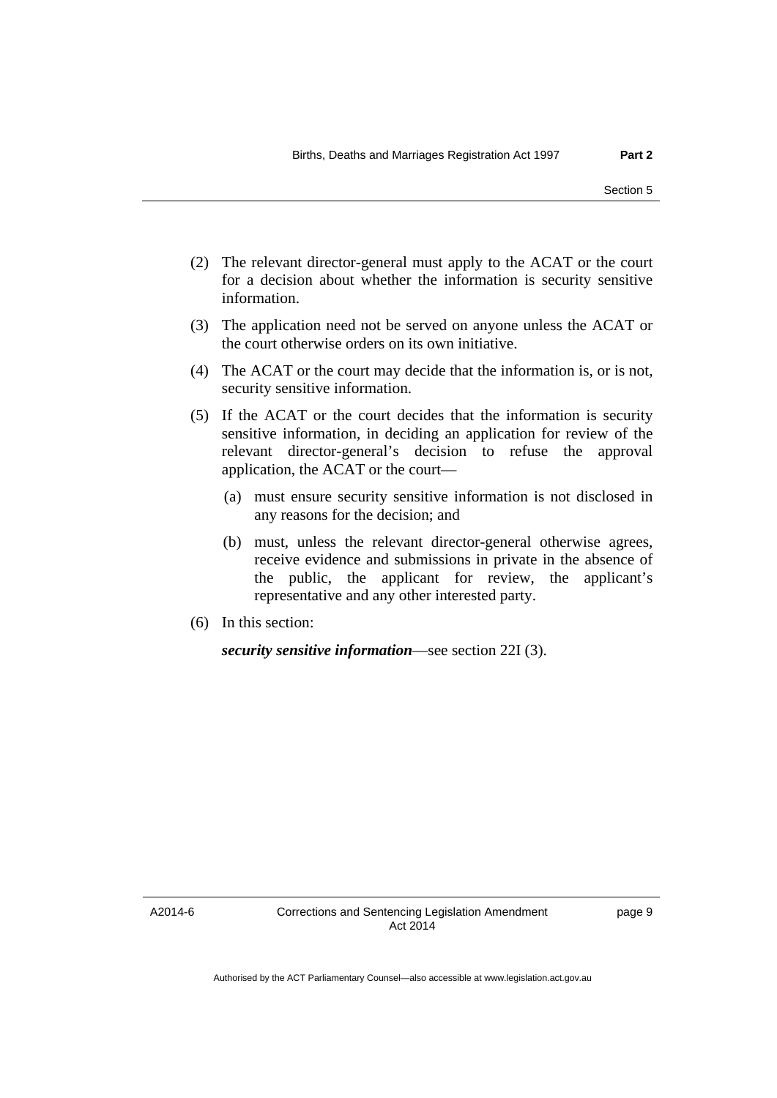- (2) The relevant director-general must apply to the ACAT or the court for a decision about whether the information is security sensitive information.
- (3) The application need not be served on anyone unless the ACAT or the court otherwise orders on its own initiative.
- (4) The ACAT or the court may decide that the information is, or is not, security sensitive information.
- (5) If the ACAT or the court decides that the information is security sensitive information, in deciding an application for review of the relevant director-general's decision to refuse the approval application, the ACAT or the court—
	- (a) must ensure security sensitive information is not disclosed in any reasons for the decision; and
	- (b) must, unless the relevant director-general otherwise agrees, receive evidence and submissions in private in the absence of the public, the applicant for review, the applicant's representative and any other interested party.

(6) In this section:

*security sensitive information*—see section 22I (3).

A2014-6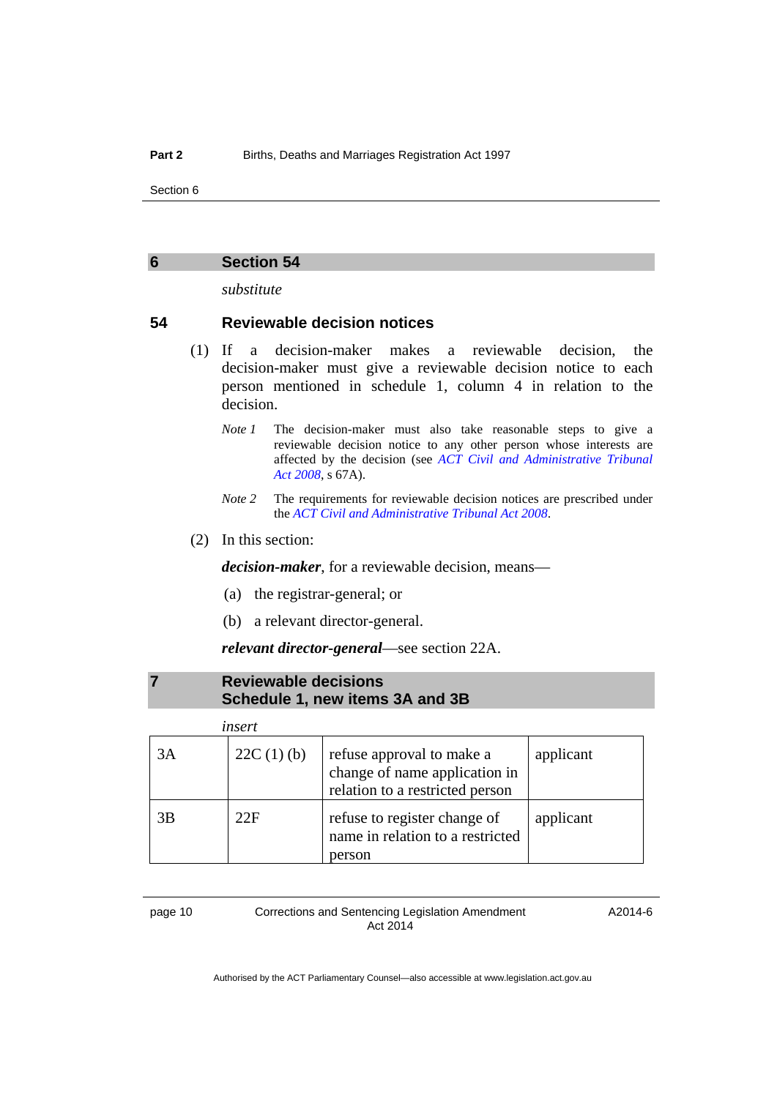#### <span id="page-11-0"></span>**6 Section 54**

*substitute* 

#### **54 Reviewable decision notices**

- (1) If a decision-maker makes a reviewable decision, the decision-maker must give a reviewable decision notice to each person mentioned in schedule 1, column 4 in relation to the decision.
	- *Note 1* The decision-maker must also take reasonable steps to give a reviewable decision notice to any other person whose interests are affected by the decision (see *[ACT Civil and Administrative Tribunal](http://www.legislation.act.gov.au/a/2008-35)  [Act 2008](http://www.legislation.act.gov.au/a/2008-35)*, s 67A).
	- *Note 2* The requirements for reviewable decision notices are prescribed under the *[ACT Civil and Administrative Tribunal Act 2008](http://www.legislation.act.gov.au/a/2008-35)*.
- (2) In this section:

*decision-maker*, for a reviewable decision, means—

- (a) the registrar-general; or
- (b) a relevant director-general.

*relevant director-general*—see section 22A.

<span id="page-11-1"></span>

| <b>Reviewable decisions</b>     |
|---------------------------------|
| Schedule 1, new items 3A and 3B |

|    | insert       |                                                                                               |           |
|----|--------------|-----------------------------------------------------------------------------------------------|-----------|
| 3A | $22C(1)$ (b) | refuse approval to make a<br>change of name application in<br>relation to a restricted person | applicant |
| 3B | 22F          | refuse to register change of<br>name in relation to a restricted<br>person                    | applicant |

page 10 Corrections and Sentencing Legislation Amendment Act 2014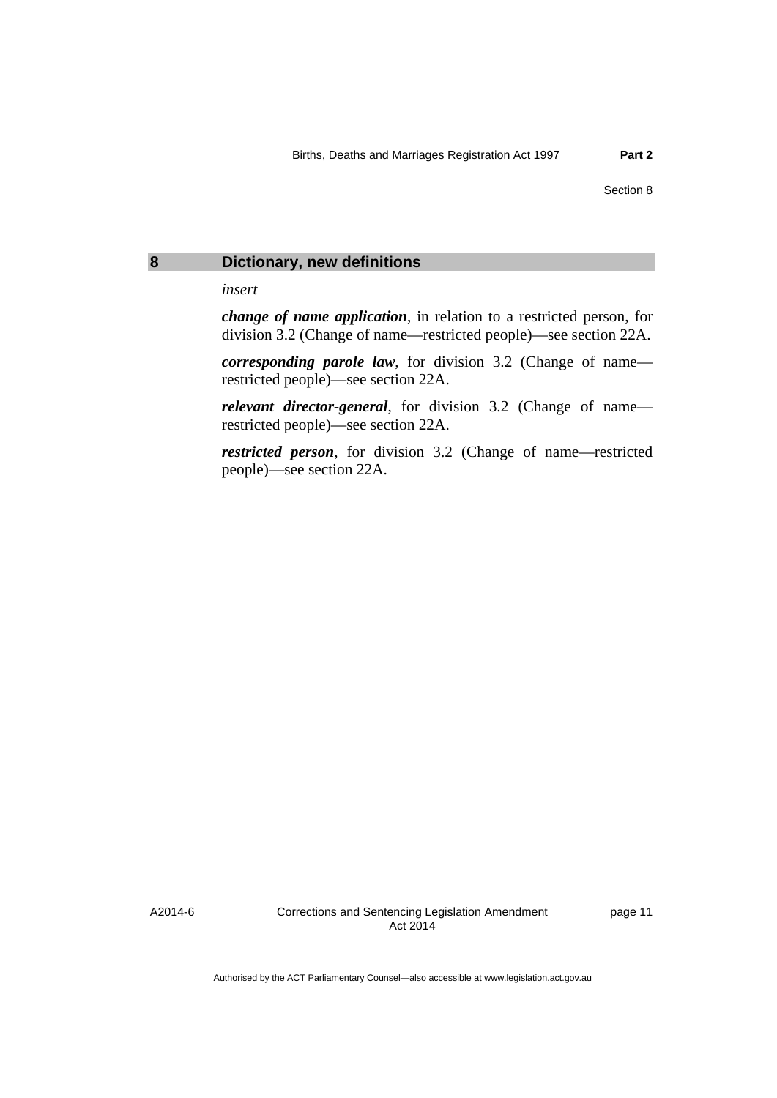#### <span id="page-12-0"></span>**8 Dictionary, new definitions**

*insert* 

*change of name application*, in relation to a restricted person, for division 3.2 (Change of name—restricted people)—see section 22A.

*corresponding parole law*, for division 3.2 (Change of name restricted people)—see section 22A.

*relevant director-general*, for division 3.2 (Change of name restricted people)—see section 22A.

*restricted person*, for division 3.2 (Change of name—restricted people)—see section 22A.

A2014-6

Corrections and Sentencing Legislation Amendment Act 2014

page 11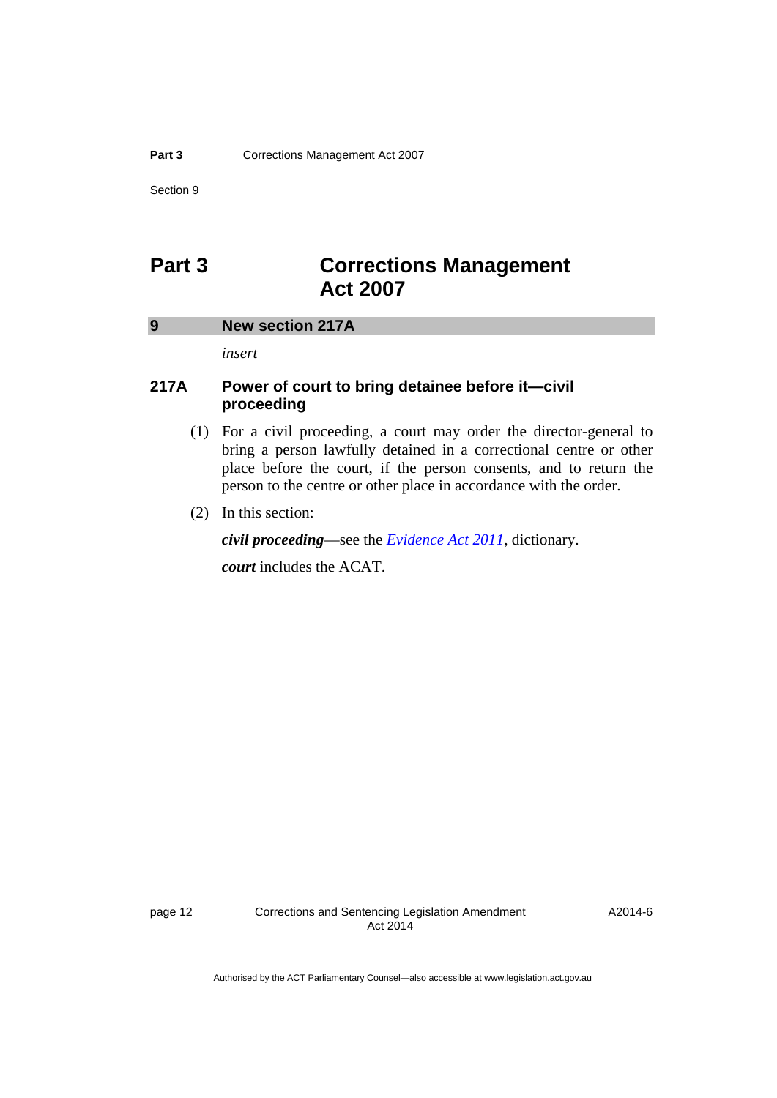# <span id="page-13-0"></span>**Part 3 Corrections Management Act 2007**

#### <span id="page-13-1"></span>**9 New section 217A**

*insert* 

#### **217A Power of court to bring detainee before it—civil proceeding**

- (1) For a civil proceeding, a court may order the director-general to bring a person lawfully detained in a correctional centre or other place before the court, if the person consents, and to return the person to the centre or other place in accordance with the order.
- (2) In this section:

*civil proceeding*—see the *[Evidence Act 2011](http://www.legislation.act.gov.au/a/2011-12)*, dictionary.

*court* includes the ACAT.

A2014-6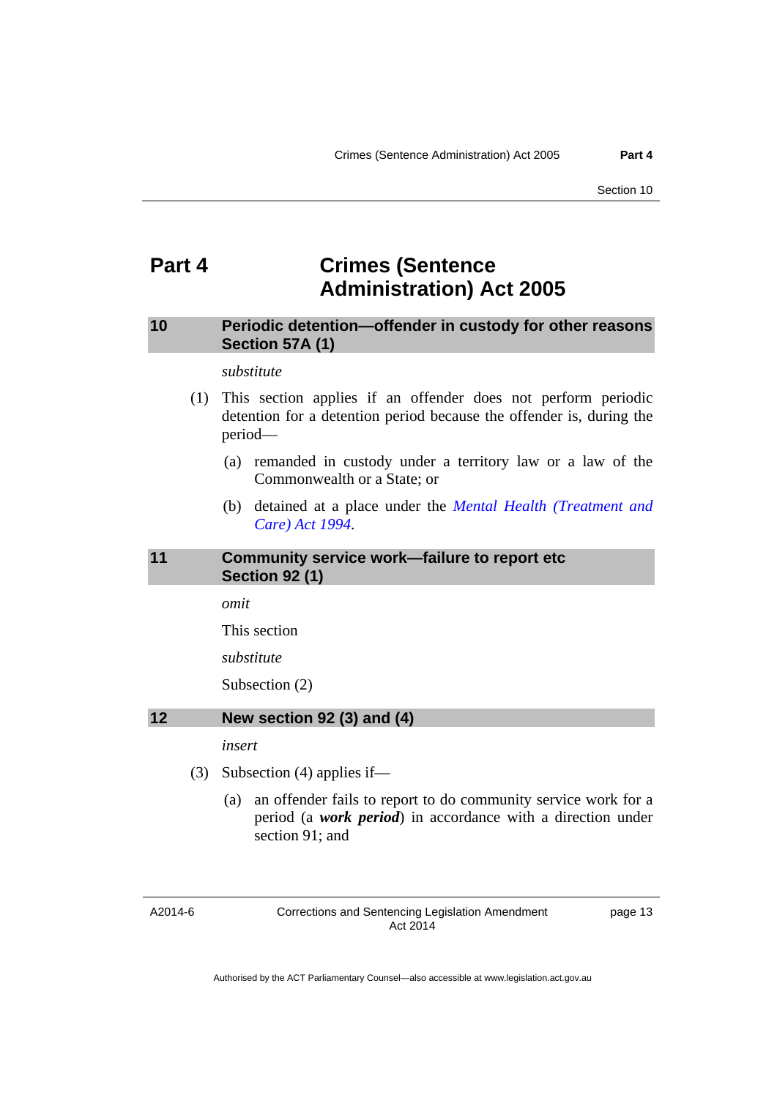# <span id="page-14-0"></span>**Part 4 Crimes (Sentence Administration) Act 2005**

#### <span id="page-14-1"></span>**10 Periodic detention—offender in custody for other reasons Section 57A (1)**

#### *substitute*

- (1) This section applies if an offender does not perform periodic detention for a detention period because the offender is, during the period—
	- (a) remanded in custody under a territory law or a law of the Commonwealth or a State; or
	- (b) detained at a place under the *[Mental Health \(Treatment and](http://www.legislation.act.gov.au/a/1994-44)  [Care\) Act 1994](http://www.legislation.act.gov.au/a/1994-44)*.

#### <span id="page-14-2"></span>**11 Community service work—failure to report etc Section 92 (1)**

*omit* 

This section

*substitute* 

Subsection (2)

#### <span id="page-14-3"></span>**12 New section 92 (3) and (4)**

*insert* 

- (3) Subsection (4) applies if—
	- (a) an offender fails to report to do community service work for a period (a *work period*) in accordance with a direction under section 91; and

A2014-6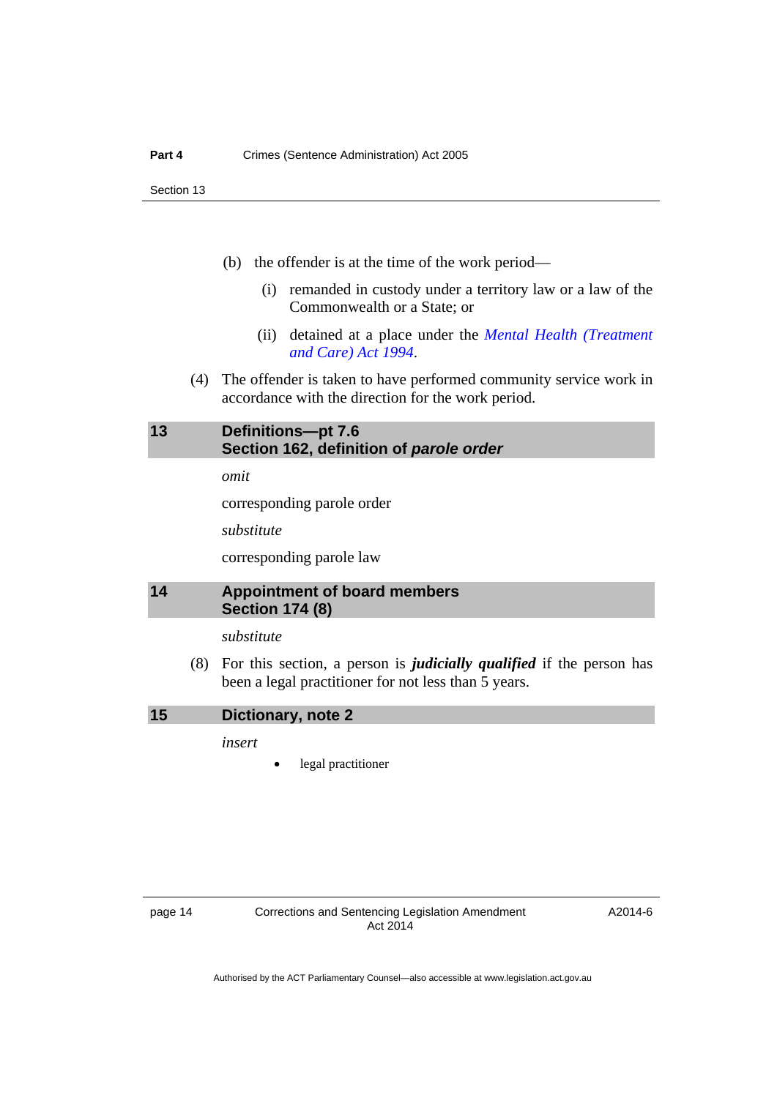- (b) the offender is at the time of the work period—
	- (i) remanded in custody under a territory law or a law of the Commonwealth or a State; or
	- (ii) detained at a place under the *[Mental Health \(Treatment](http://www.legislation.act.gov.au/a/1994-44)  [and Care\) Act 1994](http://www.legislation.act.gov.au/a/1994-44)*.
- (4) The offender is taken to have performed community service work in accordance with the direction for the work period.

#### <span id="page-15-0"></span>**13 Definitions—pt 7.6 Section 162, definition of** *parole order*

*omit* 

corresponding parole order

*substitute* 

corresponding parole law

#### <span id="page-15-1"></span>**14 Appointment of board members Section 174 (8)**

*substitute* 

 (8) For this section, a person is *judicially qualified* if the person has been a legal practitioner for not less than 5 years.

<span id="page-15-2"></span>

| 15 | Dictionary, note 2 |  |
|----|--------------------|--|
|----|--------------------|--|

*insert* 

legal practitioner